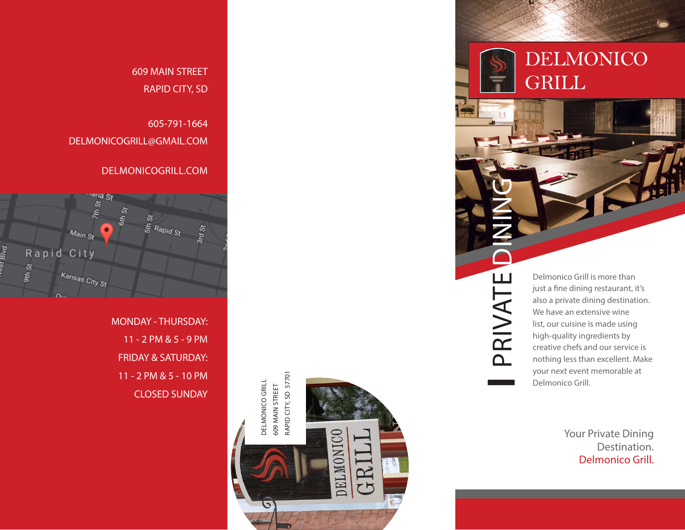DELMONICO **GRILL** 

> Delmonico Grill is more than just a fine dining restaurant, it's also a private dining destination. We have an extensive wine list, our cuisine is made using high-quality ingredients by creative chefs and our service is nothing less than excellent. Make your next event memorable at Delmonico Grill.

PRIVATE DINING

PRIVATE

Your Private Dining Destination. Delmonico Grill.

609 MAIN STREET RAPID CITY, SD

605-791-1664 DELMONICOGRILL@GMAIL.COM

DELMONICOGRILL.COM



MONDAY - THURSDAY: 11 - 2 PM & 5 - 9 PM FRIDAY & SATURDAY: 11 - 2 PM & 5 - 10 PM CLOSED SUNDAY